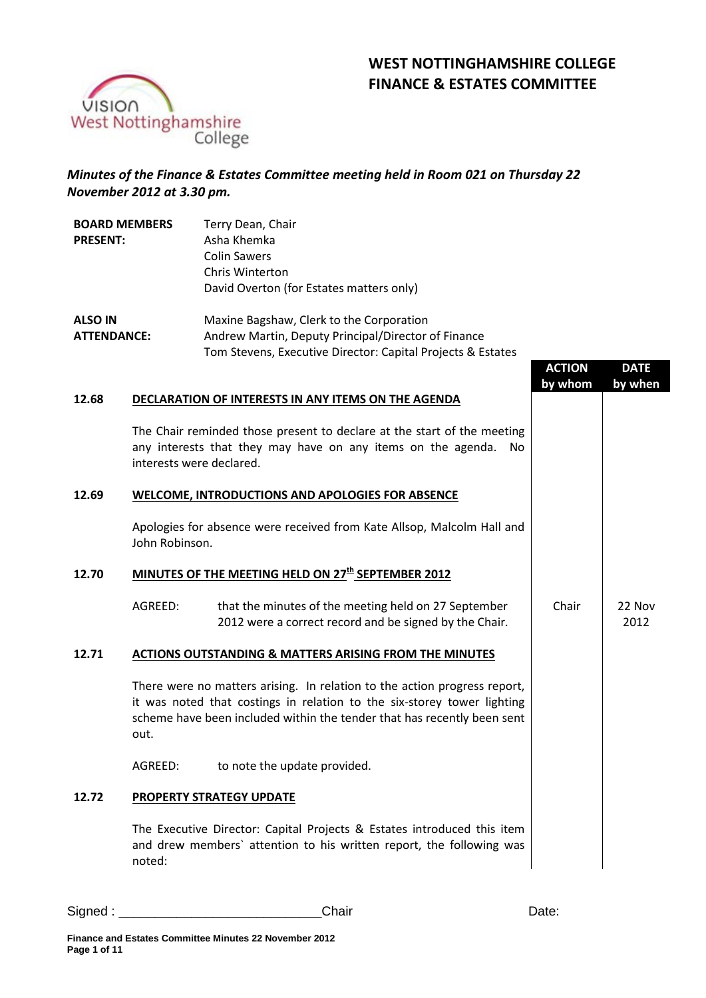# **WEST NOTTINGHAMSHIRE COLLEGE FINANCE & ESTATES COMMITTEE**



## *Minutes of the Finance & Estates Committee meeting held in Room 021 on Thursday 22 November 2012 at 3.30 pm.*

| <b>BOARD MEMBERS</b><br><b>PRESENT:</b> | Terry Dean, Chair<br>Asha Khemka<br><b>Colin Sawers</b><br>Chris Winterton<br>David Overton (for Estates matters only) |
|-----------------------------------------|------------------------------------------------------------------------------------------------------------------------|
| <b>ALSO IN</b>                          | Maxine Bagshaw, Clerk to the Corporation                                                                               |
| <b>ATTENDANCE:</b>                      | Andrew Martin, Deputy Principal/Director of Fi                                                                         |

| <b>ATTENDANCE:</b> | Andrew Martin, Deputy Principal/Director of Finance         |
|--------------------|-------------------------------------------------------------|
|                    | Tom Stevens, Executive Director: Capital Projects & Estates |

|       |                                                                                                                                                                                                                                         | <b>ACTION</b><br>by whom | <b>DATE</b><br>by when |
|-------|-----------------------------------------------------------------------------------------------------------------------------------------------------------------------------------------------------------------------------------------|--------------------------|------------------------|
| 12.68 | DECLARATION OF INTERESTS IN ANY ITEMS ON THE AGENDA                                                                                                                                                                                     |                          |                        |
|       | The Chair reminded those present to declare at the start of the meeting<br>any interests that they may have on any items on the agenda.<br>No.<br>interests were declared.                                                              |                          |                        |
| 12.69 | <b>WELCOME, INTRODUCTIONS AND APOLOGIES FOR ABSENCE</b>                                                                                                                                                                                 |                          |                        |
|       | Apologies for absence were received from Kate Allsop, Malcolm Hall and<br>John Robinson.                                                                                                                                                |                          |                        |
| 12.70 | MINUTES OF THE MEETING HELD ON 27 <sup>th</sup> SEPTEMBER 2012                                                                                                                                                                          |                          |                        |
|       | AGREED:<br>that the minutes of the meeting held on 27 September<br>2012 were a correct record and be signed by the Chair.                                                                                                               | Chair                    | 22 Nov<br>2012         |
| 12.71 | <b>ACTIONS OUTSTANDING &amp; MATTERS ARISING FROM THE MINUTES</b>                                                                                                                                                                       |                          |                        |
|       | There were no matters arising. In relation to the action progress report,<br>it was noted that costings in relation to the six-storey tower lighting<br>scheme have been included within the tender that has recently been sent<br>out. |                          |                        |
|       | AGREED:<br>to note the update provided.                                                                                                                                                                                                 |                          |                        |
| 12.72 | PROPERTY STRATEGY UPDATE                                                                                                                                                                                                                |                          |                        |
|       | The Executive Director: Capital Projects & Estates introduced this item<br>and drew members' attention to his written report, the following was<br>noted:                                                                               |                          |                        |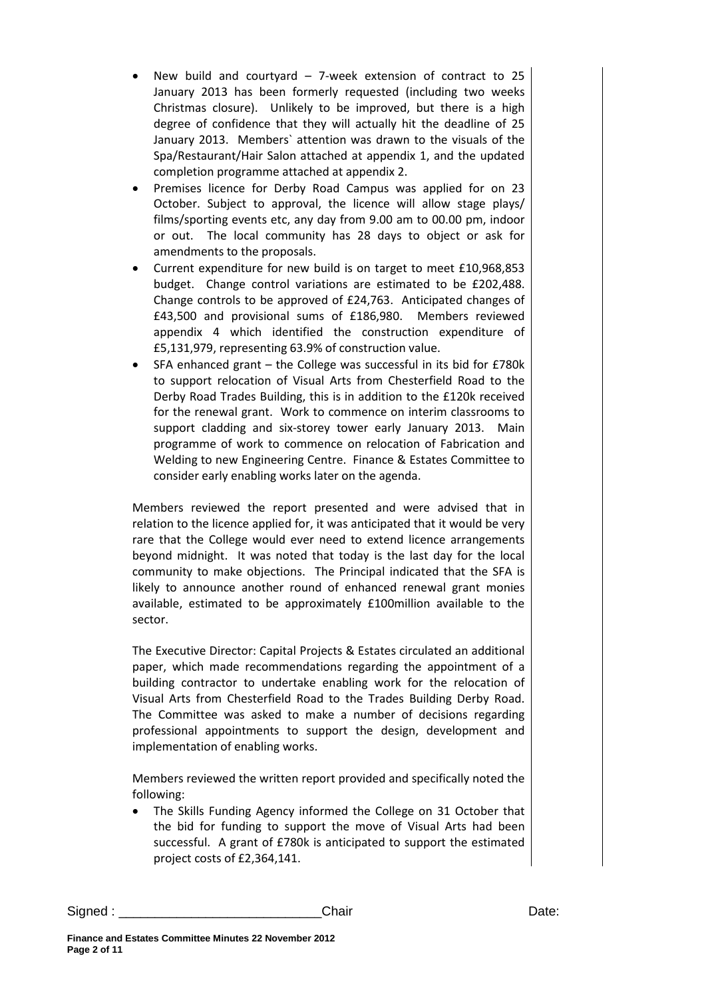- New build and courtyard  $-$  7-week extension of contract to 25 January 2013 has been formerly requested (including two weeks Christmas closure). Unlikely to be improved, but there is a high degree of confidence that they will actually hit the deadline of 25 January 2013. Members` attention was drawn to the visuals of the Spa/Restaurant/Hair Salon attached at appendix 1, and the updated completion programme attached at appendix 2.
- Premises licence for Derby Road Campus was applied for on 23 October. Subject to approval, the licence will allow stage plays/ films/sporting events etc, any day from 9.00 am to 00.00 pm, indoor or out. The local community has 28 days to object or ask for amendments to the proposals.
- Current expenditure for new build is on target to meet £10,968,853 budget. Change control variations are estimated to be £202,488. Change controls to be approved of £24,763. Anticipated changes of £43,500 and provisional sums of £186,980. Members reviewed appendix 4 which identified the construction expenditure of £5,131,979, representing 63.9% of construction value.
- SFA enhanced grant the College was successful in its bid for £780k to support relocation of Visual Arts from Chesterfield Road to the Derby Road Trades Building, this is in addition to the £120k received for the renewal grant. Work to commence on interim classrooms to support cladding and six-storey tower early January 2013. Main programme of work to commence on relocation of Fabrication and Welding to new Engineering Centre. Finance & Estates Committee to consider early enabling works later on the agenda.

Members reviewed the report presented and were advised that in relation to the licence applied for, it was anticipated that it would be very rare that the College would ever need to extend licence arrangements beyond midnight. It was noted that today is the last day for the local community to make objections. The Principal indicated that the SFA is likely to announce another round of enhanced renewal grant monies available, estimated to be approximately £100million available to the sector.

The Executive Director: Capital Projects & Estates circulated an additional paper, which made recommendations regarding the appointment of a building contractor to undertake enabling work for the relocation of Visual Arts from Chesterfield Road to the Trades Building Derby Road. The Committee was asked to make a number of decisions regarding professional appointments to support the design, development and implementation of enabling works.

Members reviewed the written report provided and specifically noted the following:

• The Skills Funding Agency informed the College on 31 October that the bid for funding to support the move of Visual Arts had been successful. A grant of £780k is anticipated to support the estimated project costs of £2,364,141.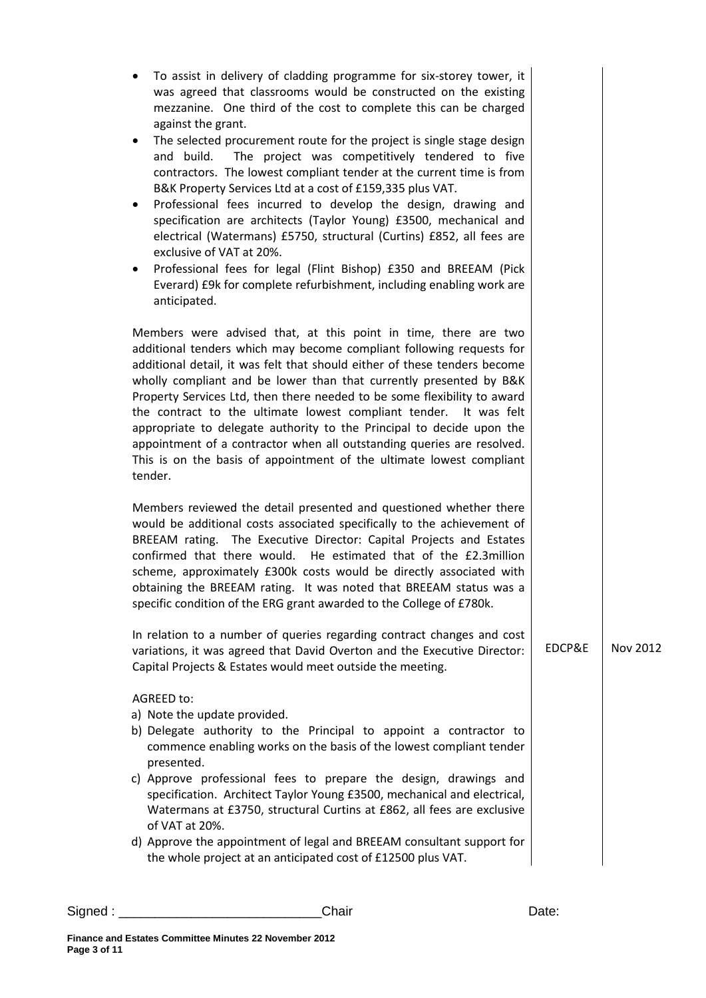| To assist in delivery of cladding programme for six-storey tower, it<br>was agreed that classrooms would be constructed on the existing<br>mezzanine. One third of the cost to complete this can be charged<br>against the grant.<br>The selected procurement route for the project is single stage design<br>٠<br>The project was competitively tendered to five<br>and build.<br>contractors. The lowest compliant tender at the current time is from<br>B&K Property Services Ltd at a cost of £159,335 plus VAT.<br>Professional fees incurred to develop the design, drawing and<br>٠<br>specification are architects (Taylor Young) £3500, mechanical and<br>electrical (Watermans) £5750, structural (Curtins) £852, all fees are<br>exclusive of VAT at 20%.<br>Professional fees for legal (Flint Bishop) £350 and BREEAM (Pick<br>٠<br>Everard) £9k for complete refurbishment, including enabling work are<br>anticipated.<br>Members were advised that, at this point in time, there are two<br>additional tenders which may become compliant following requests for<br>additional detail, it was felt that should either of these tenders become<br>wholly compliant and be lower than that currently presented by B&K<br>Property Services Ltd, then there needed to be some flexibility to award<br>the contract to the ultimate lowest compliant tender. It was felt<br>appropriate to delegate authority to the Principal to decide upon the<br>appointment of a contractor when all outstanding queries are resolved.<br>This is on the basis of appointment of the ultimate lowest compliant<br>tender.<br>Members reviewed the detail presented and questioned whether there<br>would be additional costs associated specifically to the achievement of<br>BREEAM rating. The Executive Director: Capital Projects and Estates<br>He estimated that of the £2.3million<br>confirmed that there would.<br>scheme, approximately £300k costs would be directly associated with<br>obtaining the BREEAM rating. It was noted that BREEAM status was a<br>specific condition of the ERG grant awarded to the College of £780k.<br>In relation to a number of queries regarding contract changes and cost<br>EDCP&E<br>Nov 2012<br>variations, it was agreed that David Overton and the Executive Director:<br>Capital Projects & Estates would meet outside the meeting.<br>AGREED to:<br>a) Note the update provided.<br>b) Delegate authority to the Principal to appoint a contractor to<br>commence enabling works on the basis of the lowest compliant tender<br>presented.<br>c) Approve professional fees to prepare the design, drawings and<br>specification. Architect Taylor Young £3500, mechanical and electrical,<br>Watermans at £3750, structural Curtins at £862, all fees are exclusive<br>of VAT at 20%.<br>d) Approve the appointment of legal and BREEAM consultant support for<br>the whole project at an anticipated cost of £12500 plus VAT. |  |  |
|--------------------------------------------------------------------------------------------------------------------------------------------------------------------------------------------------------------------------------------------------------------------------------------------------------------------------------------------------------------------------------------------------------------------------------------------------------------------------------------------------------------------------------------------------------------------------------------------------------------------------------------------------------------------------------------------------------------------------------------------------------------------------------------------------------------------------------------------------------------------------------------------------------------------------------------------------------------------------------------------------------------------------------------------------------------------------------------------------------------------------------------------------------------------------------------------------------------------------------------------------------------------------------------------------------------------------------------------------------------------------------------------------------------------------------------------------------------------------------------------------------------------------------------------------------------------------------------------------------------------------------------------------------------------------------------------------------------------------------------------------------------------------------------------------------------------------------------------------------------------------------------------------------------------------------------------------------------------------------------------------------------------------------------------------------------------------------------------------------------------------------------------------------------------------------------------------------------------------------------------------------------------------------------------------------------------------------------------------------------------------------------------------------------------------------------------------------------------------------------------------------------------------------------------------------------------------------------------------------------------------------------------------------------------------------------------------------------------------------------------------------------------------------------------------------------------------------------------------------------------------------------------------------------------------------------------------------------------------------------|--|--|
|                                                                                                                                                                                                                                                                                                                                                                                                                                                                                                                                                                                                                                                                                                                                                                                                                                                                                                                                                                                                                                                                                                                                                                                                                                                                                                                                                                                                                                                                                                                                                                                                                                                                                                                                                                                                                                                                                                                                                                                                                                                                                                                                                                                                                                                                                                                                                                                                                                                                                                                                                                                                                                                                                                                                                                                                                                                                                                                                                                                      |  |  |
|                                                                                                                                                                                                                                                                                                                                                                                                                                                                                                                                                                                                                                                                                                                                                                                                                                                                                                                                                                                                                                                                                                                                                                                                                                                                                                                                                                                                                                                                                                                                                                                                                                                                                                                                                                                                                                                                                                                                                                                                                                                                                                                                                                                                                                                                                                                                                                                                                                                                                                                                                                                                                                                                                                                                                                                                                                                                                                                                                                                      |  |  |
|                                                                                                                                                                                                                                                                                                                                                                                                                                                                                                                                                                                                                                                                                                                                                                                                                                                                                                                                                                                                                                                                                                                                                                                                                                                                                                                                                                                                                                                                                                                                                                                                                                                                                                                                                                                                                                                                                                                                                                                                                                                                                                                                                                                                                                                                                                                                                                                                                                                                                                                                                                                                                                                                                                                                                                                                                                                                                                                                                                                      |  |  |
|                                                                                                                                                                                                                                                                                                                                                                                                                                                                                                                                                                                                                                                                                                                                                                                                                                                                                                                                                                                                                                                                                                                                                                                                                                                                                                                                                                                                                                                                                                                                                                                                                                                                                                                                                                                                                                                                                                                                                                                                                                                                                                                                                                                                                                                                                                                                                                                                                                                                                                                                                                                                                                                                                                                                                                                                                                                                                                                                                                                      |  |  |
|                                                                                                                                                                                                                                                                                                                                                                                                                                                                                                                                                                                                                                                                                                                                                                                                                                                                                                                                                                                                                                                                                                                                                                                                                                                                                                                                                                                                                                                                                                                                                                                                                                                                                                                                                                                                                                                                                                                                                                                                                                                                                                                                                                                                                                                                                                                                                                                                                                                                                                                                                                                                                                                                                                                                                                                                                                                                                                                                                                                      |  |  |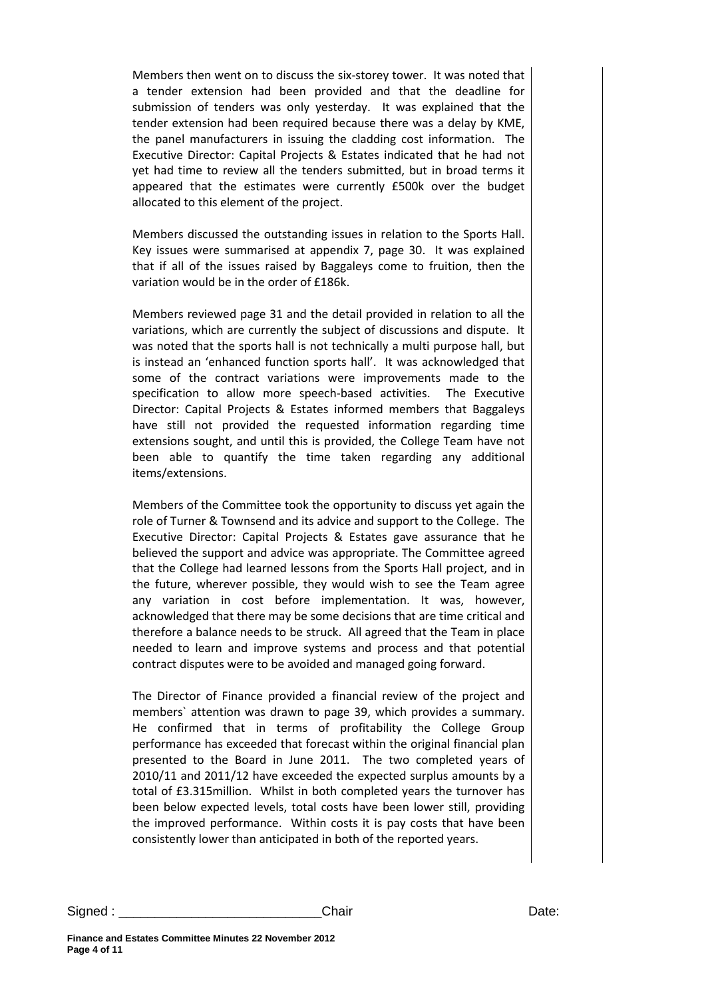Members then went on to discuss the six-storey tower. It was noted that a tender extension had been provided and that the deadline for submission of tenders was only yesterday. It was explained that the tender extension had been required because there was a delay by KME, the panel manufacturers in issuing the cladding cost information. The Executive Director: Capital Projects & Estates indicated that he had not yet had time to review all the tenders submitted, but in broad terms it appeared that the estimates were currently £500k over the budget allocated to this element of the project.

Members discussed the outstanding issues in relation to the Sports Hall. Key issues were summarised at appendix 7, page 30. It was explained that if all of the issues raised by Baggaleys come to fruition, then the variation would be in the order of £186k.

Members reviewed page 31 and the detail provided in relation to all the variations, which are currently the subject of discussions and dispute. It was noted that the sports hall is not technically a multi purpose hall, but is instead an 'enhanced function sports hall'. It was acknowledged that some of the contract variations were improvements made to the specification to allow more speech-based activities. The Executive Director: Capital Projects & Estates informed members that Baggaleys have still not provided the requested information regarding time extensions sought, and until this is provided, the College Team have not been able to quantify the time taken regarding any additional items/extensions.

Members of the Committee took the opportunity to discuss yet again the role of Turner & Townsend and its advice and support to the College. The Executive Director: Capital Projects & Estates gave assurance that he believed the support and advice was appropriate. The Committee agreed that the College had learned lessons from the Sports Hall project, and in the future, wherever possible, they would wish to see the Team agree any variation in cost before implementation. It was, however, acknowledged that there may be some decisions that are time critical and therefore a balance needs to be struck. All agreed that the Team in place needed to learn and improve systems and process and that potential contract disputes were to be avoided and managed going forward.

The Director of Finance provided a financial review of the project and members` attention was drawn to page 39, which provides a summary. He confirmed that in terms of profitability the College Group performance has exceeded that forecast within the original financial plan presented to the Board in June 2011. The two completed years of 2010/11 and 2011/12 have exceeded the expected surplus amounts by a total of £3.315million. Whilst in both completed years the turnover has been below expected levels, total costs have been lower still, providing the improved performance. Within costs it is pay costs that have been consistently lower than anticipated in both of the reported years.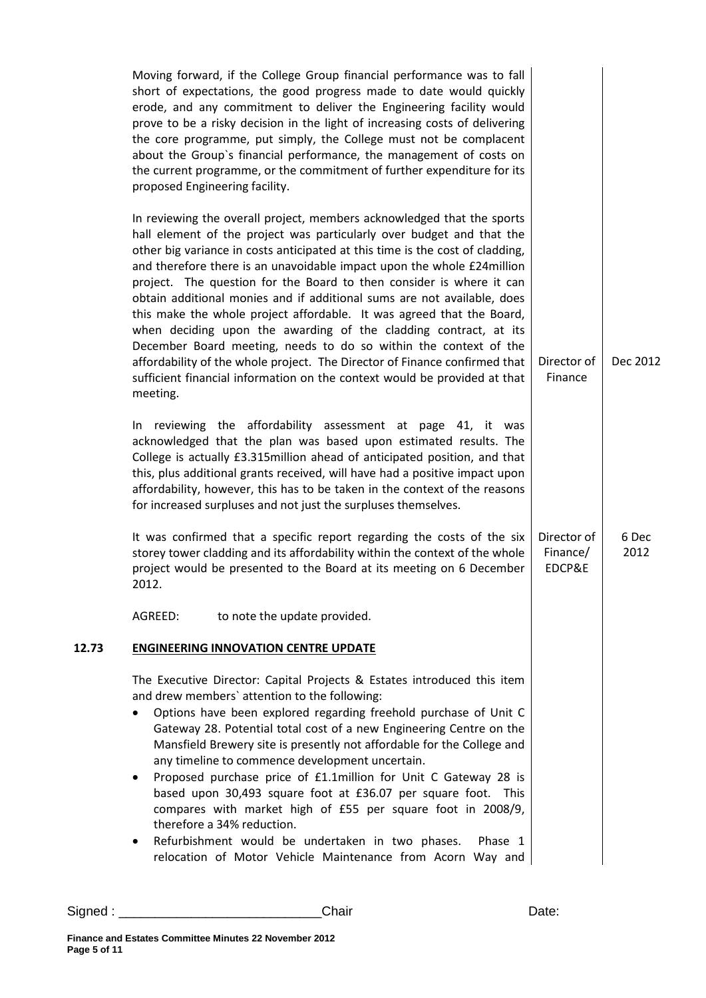|       | Moving forward, if the College Group financial performance was to fall<br>short of expectations, the good progress made to date would quickly<br>erode, and any commitment to deliver the Engineering facility would<br>prove to be a risky decision in the light of increasing costs of delivering<br>the core programme, put simply, the College must not be complacent<br>about the Group's financial performance, the management of costs on<br>the current programme, or the commitment of further expenditure for its<br>proposed Engineering facility.                                                                                                                                                                                                                                                                                          |                                   |               |
|-------|--------------------------------------------------------------------------------------------------------------------------------------------------------------------------------------------------------------------------------------------------------------------------------------------------------------------------------------------------------------------------------------------------------------------------------------------------------------------------------------------------------------------------------------------------------------------------------------------------------------------------------------------------------------------------------------------------------------------------------------------------------------------------------------------------------------------------------------------------------|-----------------------------------|---------------|
|       | In reviewing the overall project, members acknowledged that the sports<br>hall element of the project was particularly over budget and that the<br>other big variance in costs anticipated at this time is the cost of cladding,<br>and therefore there is an unavoidable impact upon the whole £24 million<br>project. The question for the Board to then consider is where it can<br>obtain additional monies and if additional sums are not available, does<br>this make the whole project affordable. It was agreed that the Board,<br>when deciding upon the awarding of the cladding contract, at its<br>December Board meeting, needs to do so within the context of the<br>affordability of the whole project. The Director of Finance confirmed that<br>sufficient financial information on the context would be provided at that<br>meeting. | Director of<br>Finance            | Dec 2012      |
|       | In reviewing the affordability assessment at page 41, it was<br>acknowledged that the plan was based upon estimated results. The<br>College is actually £3.315million ahead of anticipated position, and that<br>this, plus additional grants received, will have had a positive impact upon<br>affordability, however, this has to be taken in the context of the reasons<br>for increased surpluses and not just the surpluses themselves.                                                                                                                                                                                                                                                                                                                                                                                                           |                                   |               |
|       | It was confirmed that a specific report regarding the costs of the six<br>storey tower cladding and its affordability within the context of the whole<br>project would be presented to the Board at its meeting on 6 December<br>2012.                                                                                                                                                                                                                                                                                                                                                                                                                                                                                                                                                                                                                 | Director of<br>Finance/<br>EDCP&E | 6 Dec<br>2012 |
|       | to note the update provided.<br>AGREED:                                                                                                                                                                                                                                                                                                                                                                                                                                                                                                                                                                                                                                                                                                                                                                                                                |                                   |               |
| 12.73 | <b>ENGINEERING INNOVATION CENTRE UPDATE</b>                                                                                                                                                                                                                                                                                                                                                                                                                                                                                                                                                                                                                                                                                                                                                                                                            |                                   |               |
|       | The Executive Director: Capital Projects & Estates introduced this item<br>and drew members' attention to the following:<br>Options have been explored regarding freehold purchase of Unit C<br>٠<br>Gateway 28. Potential total cost of a new Engineering Centre on the<br>Mansfield Brewery site is presently not affordable for the College and<br>any timeline to commence development uncertain.<br>Proposed purchase price of £1.1million for Unit C Gateway 28 is<br>٠<br>based upon 30,493 square foot at £36.07 per square foot. This<br>compares with market high of £55 per square foot in 2008/9,<br>therefore a 34% reduction.<br>Refurbishment would be undertaken in two phases.<br>Phase 1<br>٠<br>relocation of Motor Vehicle Maintenance from Acorn Way and                                                                          |                                   |               |
|       |                                                                                                                                                                                                                                                                                                                                                                                                                                                                                                                                                                                                                                                                                                                                                                                                                                                        |                                   |               |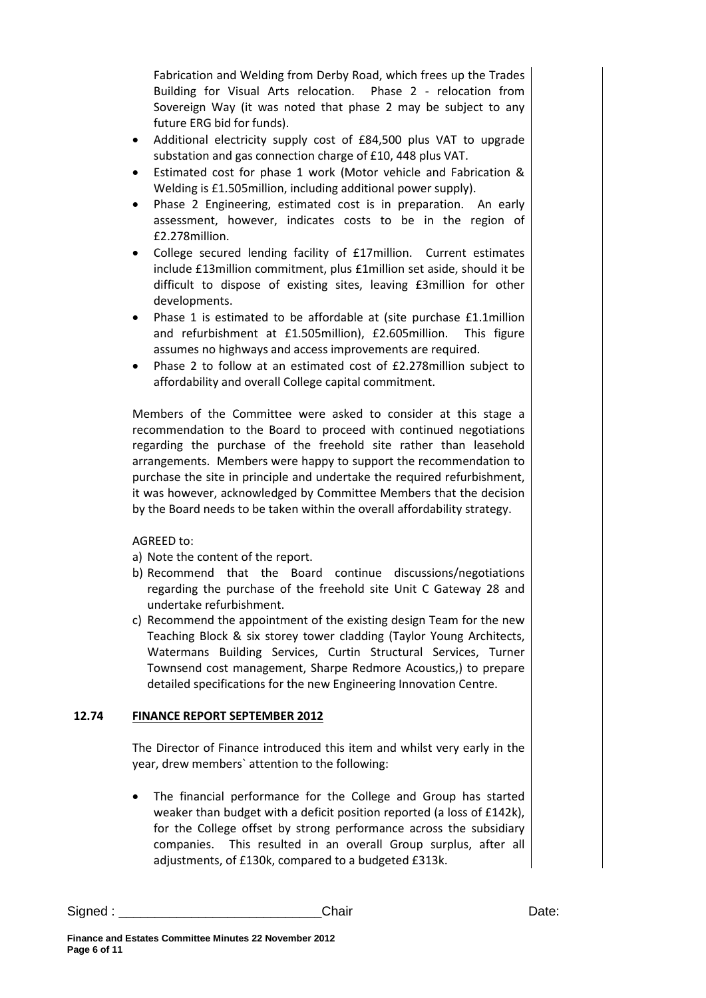Fabrication and Welding from Derby Road, which frees up the Trades Building for Visual Arts relocation. Phase 2 - relocation from Sovereign Way (it was noted that phase 2 may be subject to any future ERG bid for funds).

- Additional electricity supply cost of £84,500 plus VAT to upgrade substation and gas connection charge of £10, 448 plus VAT.
- Estimated cost for phase 1 work (Motor vehicle and Fabrication & Welding is £1.505million, including additional power supply).
- Phase 2 Engineering, estimated cost is in preparation. An early assessment, however, indicates costs to be in the region of £2.278million.
- College secured lending facility of £17million. Current estimates include £13million commitment, plus £1million set aside, should it be difficult to dispose of existing sites, leaving £3million for other developments.
- Phase 1 is estimated to be affordable at (site purchase £1.1million and refurbishment at £1.505million), £2.605million. This figure assumes no highways and access improvements are required.
- Phase 2 to follow at an estimated cost of £2.278million subject to affordability and overall College capital commitment.

Members of the Committee were asked to consider at this stage a recommendation to the Board to proceed with continued negotiations regarding the purchase of the freehold site rather than leasehold arrangements. Members were happy to support the recommendation to purchase the site in principle and undertake the required refurbishment, it was however, acknowledged by Committee Members that the decision by the Board needs to be taken within the overall affordability strategy.

AGREED to:

- a) Note the content of the report.
- b) Recommend that the Board continue discussions/negotiations regarding the purchase of the freehold site Unit C Gateway 28 and undertake refurbishment.
- c) Recommend the appointment of the existing design Team for the new Teaching Block & six storey tower cladding (Taylor Young Architects, Watermans Building Services, Curtin Structural Services, Turner Townsend cost management, Sharpe Redmore Acoustics,) to prepare detailed specifications for the new Engineering Innovation Centre.

## **12.74 FINANCE REPORT SEPTEMBER 2012**

The Director of Finance introduced this item and whilst very early in the year, drew members` attention to the following:

The financial performance for the College and Group has started weaker than budget with a deficit position reported (a loss of £142k), for the College offset by strong performance across the subsidiary companies. This resulted in an overall Group surplus, after all adjustments, of £130k, compared to a budgeted £313k.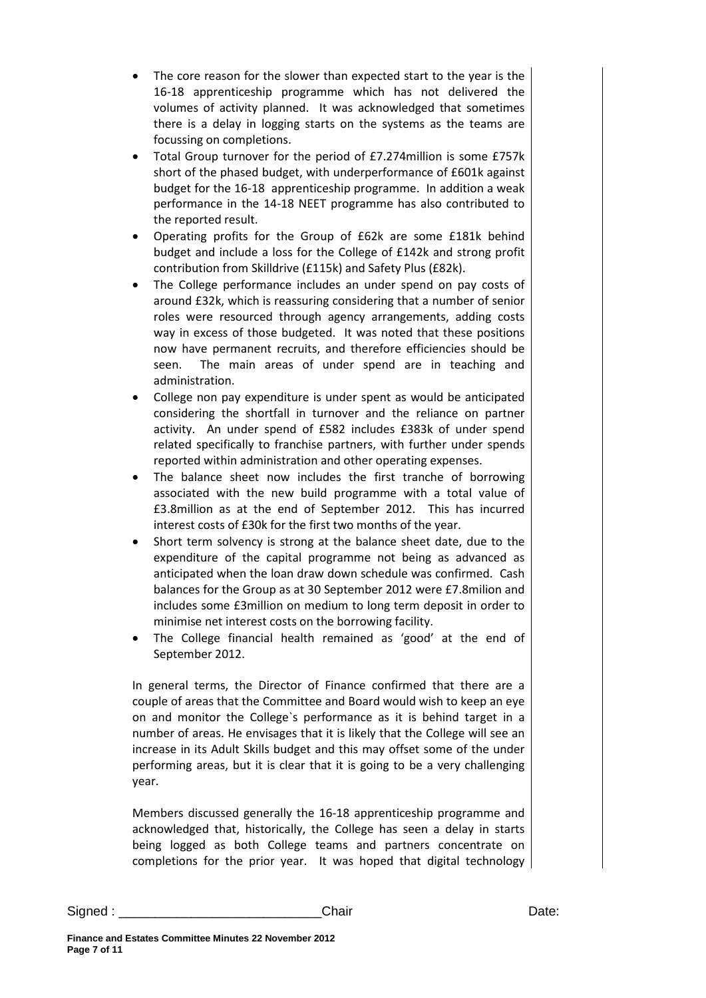- The core reason for the slower than expected start to the year is the 16-18 apprenticeship programme which has not delivered the volumes of activity planned. It was acknowledged that sometimes there is a delay in logging starts on the systems as the teams are focussing on completions.
- Total Group turnover for the period of £7.274million is some £757k short of the phased budget, with underperformance of £601k against budget for the 16-18 apprenticeship programme. In addition a weak performance in the 14-18 NEET programme has also contributed to the reported result.
- Operating profits for the Group of £62k are some £181k behind budget and include a loss for the College of £142k and strong profit contribution from Skilldrive (£115k) and Safety Plus (£82k).
- The College performance includes an under spend on pay costs of around £32k, which is reassuring considering that a number of senior roles were resourced through agency arrangements, adding costs way in excess of those budgeted. It was noted that these positions now have permanent recruits, and therefore efficiencies should be seen. The main areas of under spend are in teaching and administration.
- College non pay expenditure is under spent as would be anticipated considering the shortfall in turnover and the reliance on partner activity. An under spend of £582 includes £383k of under spend related specifically to franchise partners, with further under spends reported within administration and other operating expenses.
- The balance sheet now includes the first tranche of borrowing associated with the new build programme with a total value of £3.8million as at the end of September 2012. This has incurred interest costs of £30k for the first two months of the year.
- Short term solvency is strong at the balance sheet date, due to the expenditure of the capital programme not being as advanced as anticipated when the loan draw down schedule was confirmed. Cash balances for the Group as at 30 September 2012 were £7.8milion and includes some £3million on medium to long term deposit in order to minimise net interest costs on the borrowing facility.
- The College financial health remained as 'good' at the end of September 2012.

In general terms, the Director of Finance confirmed that there are a couple of areas that the Committee and Board would wish to keep an eye on and monitor the College`s performance as it is behind target in a number of areas. He envisages that it is likely that the College will see an increase in its Adult Skills budget and this may offset some of the under performing areas, but it is clear that it is going to be a very challenging year.

Members discussed generally the 16-18 apprenticeship programme and acknowledged that, historically, the College has seen a delay in starts being logged as both College teams and partners concentrate on completions for the prior year. It was hoped that digital technology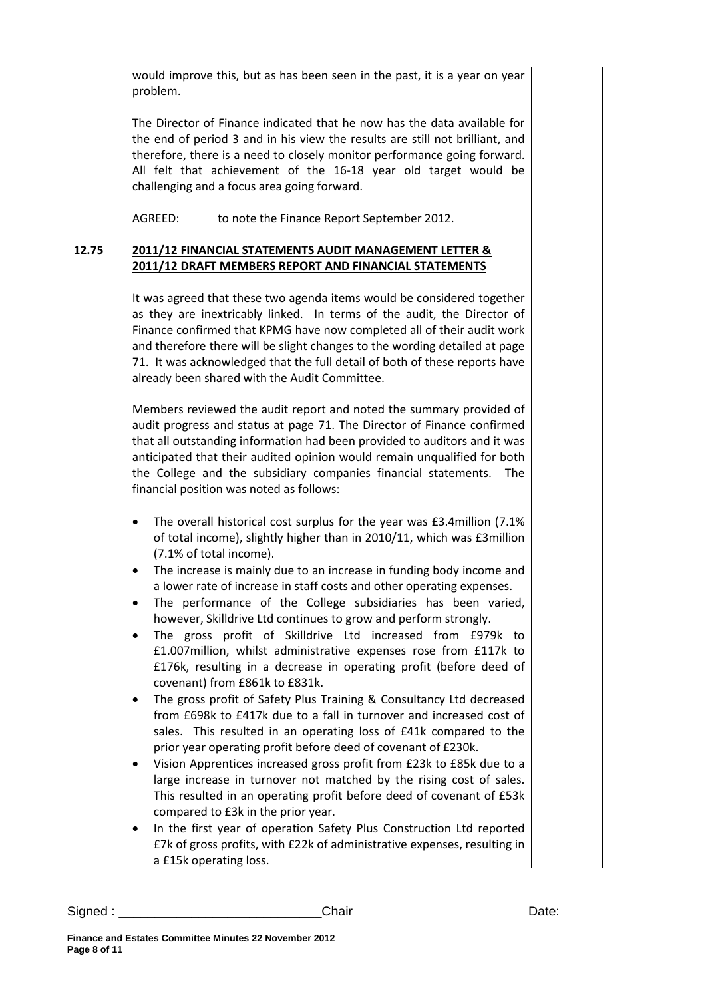would improve this, but as has been seen in the past, it is a year on year problem.

The Director of Finance indicated that he now has the data available for the end of period 3 and in his view the results are still not brilliant, and therefore, there is a need to closely monitor performance going forward. All felt that achievement of the 16-18 year old target would be challenging and a focus area going forward.

AGREED: to note the Finance Report September 2012.

## **12.75 2011/12 FINANCIAL STATEMENTS AUDIT MANAGEMENT LETTER & 2011/12 DRAFT MEMBERS REPORT AND FINANCIAL STATEMENTS**

It was agreed that these two agenda items would be considered together as they are inextricably linked. In terms of the audit, the Director of Finance confirmed that KPMG have now completed all of their audit work and therefore there will be slight changes to the wording detailed at page 71. It was acknowledged that the full detail of both of these reports have already been shared with the Audit Committee.

Members reviewed the audit report and noted the summary provided of audit progress and status at page 71. The Director of Finance confirmed that all outstanding information had been provided to auditors and it was anticipated that their audited opinion would remain unqualified for both the College and the subsidiary companies financial statements. The financial position was noted as follows:

- The overall historical cost surplus for the year was £3.4million (7.1% of total income), slightly higher than in 2010/11, which was £3million (7.1% of total income).
- The increase is mainly due to an increase in funding body income and a lower rate of increase in staff costs and other operating expenses.
- The performance of the College subsidiaries has been varied, however, Skilldrive Ltd continues to grow and perform strongly.
- The gross profit of Skilldrive Ltd increased from £979k to £1.007million, whilst administrative expenses rose from £117k to £176k, resulting in a decrease in operating profit (before deed of covenant) from £861k to £831k.
- The gross profit of Safety Plus Training & Consultancy Ltd decreased from £698k to £417k due to a fall in turnover and increased cost of sales. This resulted in an operating loss of £41k compared to the prior year operating profit before deed of covenant of £230k.
- Vision Apprentices increased gross profit from £23k to £85k due to a large increase in turnover not matched by the rising cost of sales. This resulted in an operating profit before deed of covenant of £53k compared to £3k in the prior year.
- In the first year of operation Safety Plus Construction Ltd reported £7k of gross profits, with £22k of administrative expenses, resulting in a £15k operating loss.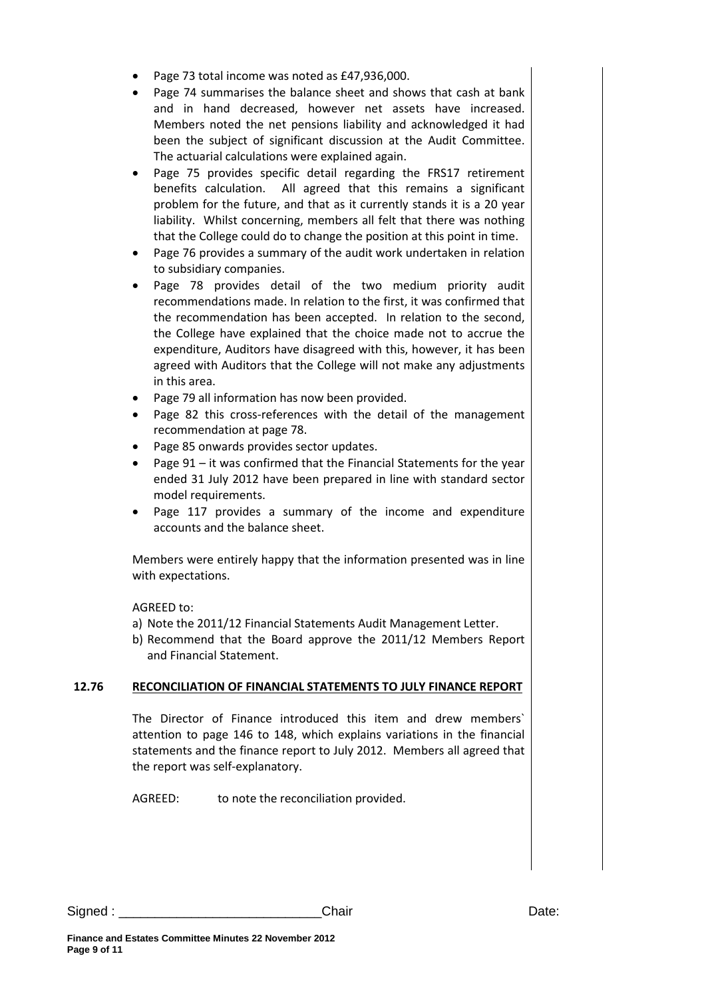- Page 73 total income was noted as £47,936,000.
- Page 74 summarises the balance sheet and shows that cash at bank and in hand decreased, however net assets have increased. Members noted the net pensions liability and acknowledged it had been the subject of significant discussion at the Audit Committee. The actuarial calculations were explained again.
- Page 75 provides specific detail regarding the FRS17 retirement benefits calculation. All agreed that this remains a significant problem for the future, and that as it currently stands it is a 20 year liability. Whilst concerning, members all felt that there was nothing that the College could do to change the position at this point in time.
- Page 76 provides a summary of the audit work undertaken in relation to subsidiary companies.
- Page 78 provides detail of the two medium priority audit recommendations made. In relation to the first, it was confirmed that the recommendation has been accepted. In relation to the second, the College have explained that the choice made not to accrue the expenditure, Auditors have disagreed with this, however, it has been agreed with Auditors that the College will not make any adjustments in this area.
- Page 79 all information has now been provided.
- Page 82 this cross-references with the detail of the management recommendation at page 78.
- Page 85 onwards provides sector updates.
- Page 91 it was confirmed that the Financial Statements for the year ended 31 July 2012 have been prepared in line with standard sector model requirements.
- Page 117 provides a summary of the income and expenditure accounts and the balance sheet.

Members were entirely happy that the information presented was in line with expectations.

AGREED to:

- a) Note the 2011/12 Financial Statements Audit Management Letter.
- b) Recommend that the Board approve the 2011/12 Members Report and Financial Statement.

## **12.76 RECONCILIATION OF FINANCIAL STATEMENTS TO JULY FINANCE REPORT**

The Director of Finance introduced this item and drew members` attention to page 146 to 148, which explains variations in the financial statements and the finance report to July 2012. Members all agreed that the report was self-explanatory.

AGREED: to note the reconciliation provided.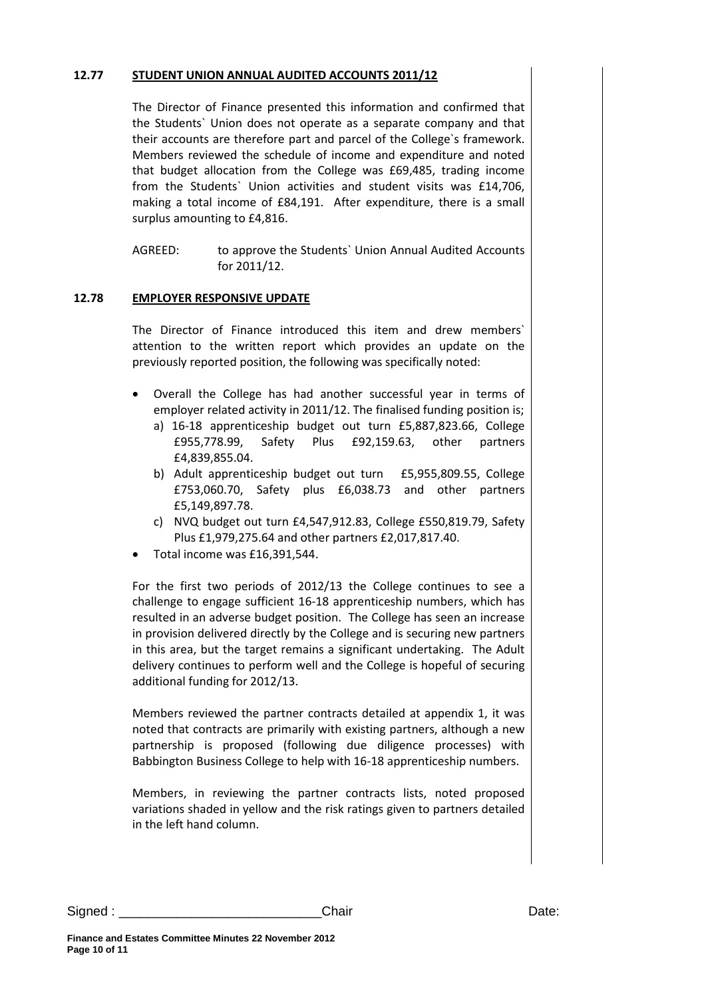### **12.77 STUDENT UNION ANNUAL AUDITED ACCOUNTS 2011/12**

The Director of Finance presented this information and confirmed that the Students` Union does not operate as a separate company and that their accounts are therefore part and parcel of the College`s framework. Members reviewed the schedule of income and expenditure and noted that budget allocation from the College was £69,485, trading income from the Students` Union activities and student visits was £14,706, making a total income of £84,191. After expenditure, there is a small surplus amounting to £4,816.

AGREED: to approve the Students` Union Annual Audited Accounts for 2011/12.

## **12.78 EMPLOYER RESPONSIVE UPDATE**

The Director of Finance introduced this item and drew members` attention to the written report which provides an update on the previously reported position, the following was specifically noted:

- Overall the College has had another successful year in terms of employer related activity in 2011/12. The finalised funding position is;
	- a) 16-18 apprenticeship budget out turn £5,887,823.66, College £955,778.99, Safety Plus £92,159.63, other partners £4,839,855.04.
	- b) Adult apprenticeship budget out turn £5,955,809.55, College £753,060.70, Safety plus £6,038.73 and other partners £5,149,897.78.
	- c) NVQ budget out turn £4,547,912.83, College £550,819.79, Safety Plus £1,979,275.64 and other partners £2,017,817.40.
- Total income was £16,391,544.

For the first two periods of 2012/13 the College continues to see a challenge to engage sufficient 16-18 apprenticeship numbers, which has resulted in an adverse budget position. The College has seen an increase in provision delivered directly by the College and is securing new partners in this area, but the target remains a significant undertaking. The Adult delivery continues to perform well and the College is hopeful of securing additional funding for 2012/13.

Members reviewed the partner contracts detailed at appendix 1, it was noted that contracts are primarily with existing partners, although a new partnership is proposed (following due diligence processes) with Babbington Business College to help with 16-18 apprenticeship numbers.

Members, in reviewing the partner contracts lists, noted proposed variations shaded in yellow and the risk ratings given to partners detailed in the left hand column.